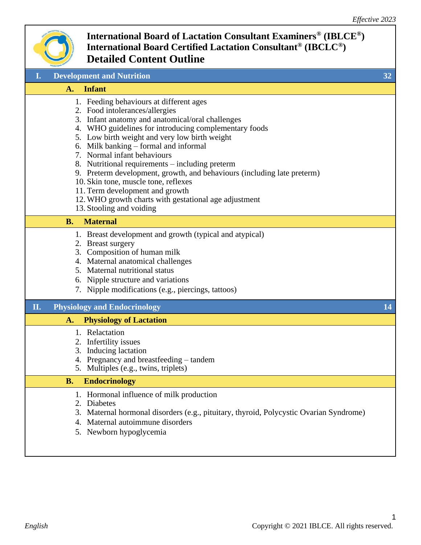

| I.             | <b>Development and Nutrition</b>                                                                                                                                                                                                                                                                                                                                                                                                                                                                                                                                                                              | 32 |
|----------------|---------------------------------------------------------------------------------------------------------------------------------------------------------------------------------------------------------------------------------------------------------------------------------------------------------------------------------------------------------------------------------------------------------------------------------------------------------------------------------------------------------------------------------------------------------------------------------------------------------------|----|
| $\mathbf{A}$ . | <b>Infant</b>                                                                                                                                                                                                                                                                                                                                                                                                                                                                                                                                                                                                 |    |
|                | 1. Feeding behaviours at different ages<br>2. Food intolerances/allergies<br>3. Infant anatomy and anatomical/oral challenges<br>4. WHO guidelines for introducing complementary foods<br>5. Low birth weight and very low birth weight<br>6. Milk banking – formal and informal<br>7. Normal infant behaviours<br>8. Nutritional requirements – including preterm<br>9. Preterm development, growth, and behaviours (including late preterm)<br>10. Skin tone, muscle tone, reflexes<br>11. Term development and growth<br>12. WHO growth charts with gestational age adjustment<br>13. Stooling and voiding |    |
| <b>B.</b>      | <b>Maternal</b>                                                                                                                                                                                                                                                                                                                                                                                                                                                                                                                                                                                               |    |
|                | 1. Breast development and growth (typical and atypical)<br>2. Breast surgery<br>3. Composition of human milk<br>4. Maternal anatomical challenges<br>5. Maternal nutritional status<br>6. Nipple structure and variations<br>7. Nipple modifications (e.g., piercings, tattoos)                                                                                                                                                                                                                                                                                                                               |    |
| П.             | <b>Physiology and Endocrinology</b>                                                                                                                                                                                                                                                                                                                                                                                                                                                                                                                                                                           | 14 |
| A.             | <b>Physiology of Lactation</b>                                                                                                                                                                                                                                                                                                                                                                                                                                                                                                                                                                                |    |
|                | 1. Relactation<br>2. Infertility issues<br>3. Inducing lactation<br>4. Pregnancy and breastfeeding – tandem<br>5. Multiples (e.g., twins, triplets)                                                                                                                                                                                                                                                                                                                                                                                                                                                           |    |
| <b>B.</b>      | <b>Endocrinology</b>                                                                                                                                                                                                                                                                                                                                                                                                                                                                                                                                                                                          |    |
|                | 1. Hormonal influence of milk production<br>2. Diabetes<br>3. Maternal hormonal disorders (e.g., pituitary, thyroid, Polycystic Ovarian Syndrome)<br>Maternal autoimmune disorders<br>5. Newborn hypoglycemia                                                                                                                                                                                                                                                                                                                                                                                                 |    |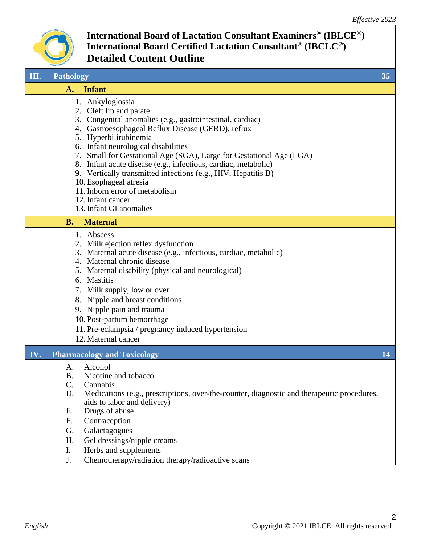

|     | <b>JOIMOTHOM</b> DM                                                                                                                                                                                                                                                                                                                                                                                                                                                                                                                                 |    |
|-----|-----------------------------------------------------------------------------------------------------------------------------------------------------------------------------------------------------------------------------------------------------------------------------------------------------------------------------------------------------------------------------------------------------------------------------------------------------------------------------------------------------------------------------------------------------|----|
| Ш.  | <b>Pathology</b>                                                                                                                                                                                                                                                                                                                                                                                                                                                                                                                                    | 35 |
|     | <b>Infant</b><br>A.                                                                                                                                                                                                                                                                                                                                                                                                                                                                                                                                 |    |
|     | 1. Ankyloglossia<br>2. Cleft lip and palate<br>3. Congenital anomalies (e.g., gastrointestinal, cardiac)<br>4. Gastroesophageal Reflux Disease (GERD), reflux<br>5. Hyperbilirubinemia<br>6. Infant neurological disabilities<br>7. Small for Gestational Age (SGA), Large for Gestational Age (LGA)<br>8. Infant acute disease (e.g., infectious, cardiac, metabolic)<br>9. Vertically transmitted infections (e.g., HIV, Hepatitis B)<br>10. Esophageal atresia<br>11. Inborn error of metabolism<br>12. Infant cancer<br>13. Infant GI anomalies |    |
|     | <b>B.</b><br><b>Maternal</b>                                                                                                                                                                                                                                                                                                                                                                                                                                                                                                                        |    |
|     | 1. Abscess<br>2. Milk ejection reflex dysfunction<br>3. Maternal acute disease (e.g., infectious, cardiac, metabolic)<br>4. Maternal chronic disease<br>5. Maternal disability (physical and neurological)<br>6. Mastitis<br>7. Milk supply, low or over<br>8. Nipple and breast conditions<br>9. Nipple pain and trauma<br>10. Post-partum hemorrhage<br>11. Pre-eclampsia / pregnancy induced hypertension<br>12. Maternal cancer                                                                                                                 |    |
| IV. | <b>Pharmacology and Toxicology</b>                                                                                                                                                                                                                                                                                                                                                                                                                                                                                                                  | 14 |
|     | Alcohol<br>A.<br><b>B.</b><br>Nicotine and tobacco<br>C.<br>Cannabis<br>Medications (e.g., prescriptions, over-the-counter, diagnostic and therapeutic procedures,<br>D.<br>aids to labor and delivery)<br>Drugs of abuse<br>Ε.<br>F.<br>Contraception<br>Galactagogues<br>G.<br>Gel dressings/nipple creams<br>H.<br>Ι.<br>Herbs and supplements                                                                                                                                                                                                   |    |

J. Chemotherapy/radiation therapy/radioactive scans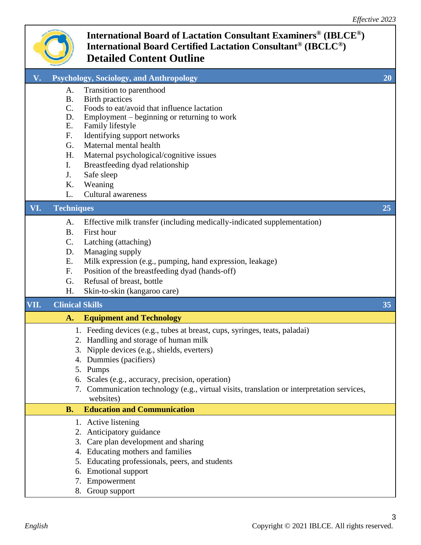

| $\mathbf{V}_{\bullet}$ |                        | <b>Psychology, Sociology, and Anthropology</b>                                             | 20 |
|------------------------|------------------------|--------------------------------------------------------------------------------------------|----|
|                        | A.                     | Transition to parenthood                                                                   |    |
|                        | <b>B.</b>              | Birth practices                                                                            |    |
|                        | C.                     | Foods to eat/avoid that influence lactation                                                |    |
|                        | D.<br>Ε.               | Employment – beginning or returning to work<br>Family lifestyle                            |    |
|                        | F.                     | Identifying support networks                                                               |    |
|                        | G.                     | Maternal mental health                                                                     |    |
|                        | Η.                     | Maternal psychological/cognitive issues                                                    |    |
|                        | I.                     | Breastfeeding dyad relationship                                                            |    |
|                        | J.                     | Safe sleep                                                                                 |    |
|                        | K.                     | Weaning                                                                                    |    |
|                        | L.                     | <b>Cultural awareness</b>                                                                  |    |
| VI.                    | <b>Techniques</b>      |                                                                                            | 25 |
|                        | A.                     | Effective milk transfer (including medically-indicated supplementation)                    |    |
|                        | <b>B.</b>              | First hour                                                                                 |    |
|                        | $\mathcal{C}$ .        | Latching (attaching)                                                                       |    |
|                        | D.                     | Managing supply                                                                            |    |
|                        | Ε.                     | Milk expression (e.g., pumping, hand expression, leakage)                                  |    |
|                        | F.                     | Position of the breastfeeding dyad (hands-off)                                             |    |
|                        | G.                     | Refusal of breast, bottle                                                                  |    |
|                        | Η.                     | Skin-to-skin (kangaroo care)                                                               |    |
| VII.                   | <b>Clinical Skills</b> |                                                                                            | 35 |
|                        | A.                     | <b>Equipment and Technology</b>                                                            |    |
|                        |                        | 1. Feeding devices (e.g., tubes at breast, cups, syringes, teats, paladai)                 |    |
|                        |                        | 2. Handling and storage of human milk                                                      |    |
|                        |                        | Nipple devices (e.g., shields, everters)<br>3.                                             |    |
|                        |                        | 4. Dummies (pacifiers)                                                                     |    |
|                        |                        | 5. Pumps                                                                                   |    |
|                        |                        | 6. Scales (e.g., accuracy, precision, operation)                                           |    |
|                        |                        | 7. Communication technology (e.g., virtual visits, translation or interpretation services, |    |
|                        |                        |                                                                                            |    |
|                        | <b>B.</b>              | websites)<br><b>Education and Communication</b>                                            |    |
|                        |                        | 1. Active listening                                                                        |    |
|                        |                        | Anticipatory guidance<br>2.                                                                |    |
|                        |                        | Care plan development and sharing<br>3.                                                    |    |
|                        |                        | Educating mothers and families<br>4.                                                       |    |
|                        |                        | Educating professionals, peers, and students<br>5.                                         |    |
|                        | 6.                     | <b>Emotional support</b>                                                                   |    |
|                        |                        | Empowerment<br>7.<br>8. Group support                                                      |    |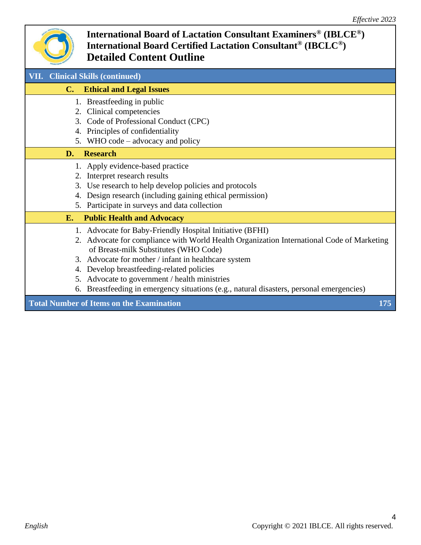

| <b>VII.</b> Clinical Skills (continued)                                                     |
|---------------------------------------------------------------------------------------------|
| <b>Ethical and Legal Issues</b><br>$\mathbf{C}$ .                                           |
| 1. Breastfeeding in public                                                                  |
| Clinical competencies<br>2.                                                                 |
| 3. Code of Professional Conduct (CPC)                                                       |
| Principles of confidentiality<br>4.                                                         |
| 5. WHO code – advocacy and policy                                                           |
| <b>Research</b><br>D.                                                                       |
| 1. Apply evidence-based practice                                                            |
| Interpret research results<br>2.                                                            |
| Use research to help develop policies and protocols<br>3.                                   |
| Design research (including gaining ethical permission)<br>4.                                |
| 5. Participate in surveys and data collection                                               |
| <b>Public Health and Advocacy</b><br>E.                                                     |
| 1. Advocate for Baby-Friendly Hospital Initiative (BFHI)                                    |
| 2. Advocate for compliance with World Health Organization International Code of Marketing   |
| of Breast-milk Substitutes (WHO Code)                                                       |
| 3. Advocate for mother / infant in healthcare system                                        |
| Develop breastfeeding-related policies<br>4.                                                |
| Advocate to government / health ministries<br>5.                                            |
| Breastfeeding in emergency situations (e.g., natural disasters, personal emergencies)<br>6. |
| <b>Total Number of Items on the Examination</b><br>175                                      |